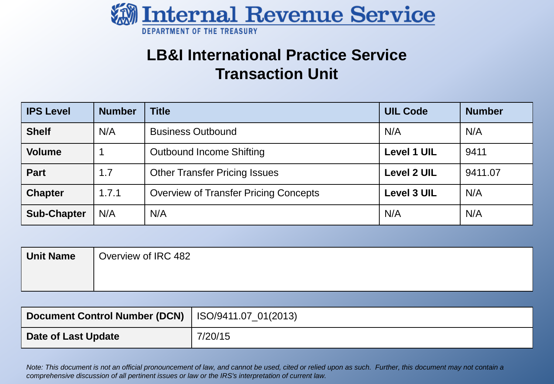

### **LB&I International Practice Service Transaction Unit**

| <b>IPS Level</b>   | <b>Number</b> | <b>Title</b>                                 | <b>UIL Code</b>    | <b>Number</b> |
|--------------------|---------------|----------------------------------------------|--------------------|---------------|
| <b>Shelf</b>       | N/A           | <b>Business Outbound</b>                     | N/A                | N/A           |
| <b>Volume</b>      |               | <b>Outbound Income Shifting</b>              | <b>Level 1 UIL</b> | 9411          |
| <b>Part</b>        | 1.7           | <b>Other Transfer Pricing Issues</b>         | <b>Level 2 UIL</b> | 9411.07       |
| <b>Chapter</b>     | 1.7.1         | <b>Overview of Transfer Pricing Concepts</b> | <b>Level 3 UIL</b> | N/A           |
| <b>Sub-Chapter</b> | N/A           | N/A                                          | N/A                | N/A           |

| Unit Name | Overview of IRC 482 |
|-----------|---------------------|
|           |                     |
|           |                     |

| Document Control Number (DCN)   ISO/9411.07_01(2013) |         |
|------------------------------------------------------|---------|
| Date of Last Update                                  | 7/20/15 |

 *Note: This document is not an official pronouncement of law, and cannot be used, cited or relied upon as such. Further, this document may not contain a comprehensive discussion of all pertinent issues or law or the IRS's interpretation of current law.*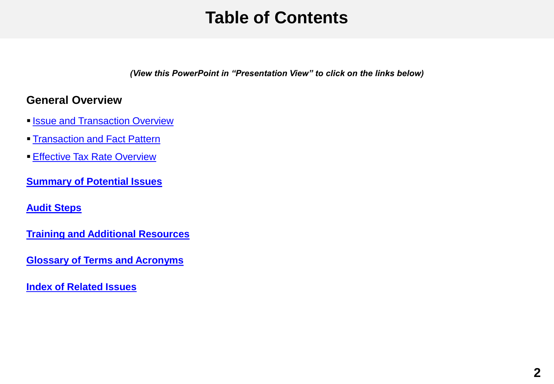## **Table of Contents**

 *(View this PowerPoint in "Presentation View" to click on the links below)* 

#### <span id="page-1-0"></span>**General Overview**

- **[Issue and Transaction Overview](#page-2-0)**
- **[Transaction and Fact Pattern](#page-4-0)**
- **[Effective Tax Rate Overview](#page-5-0)**
- **[Summary of Potential Issues](#page-6-0)**

#### **[Audit Steps](#page-7-0)**

- **[Training and Additional Resources](#page-17-0)**
- **[Glossary of Terms and Acronyms](#page-18-0)**
- **[Index of Related Issues](#page-19-0)**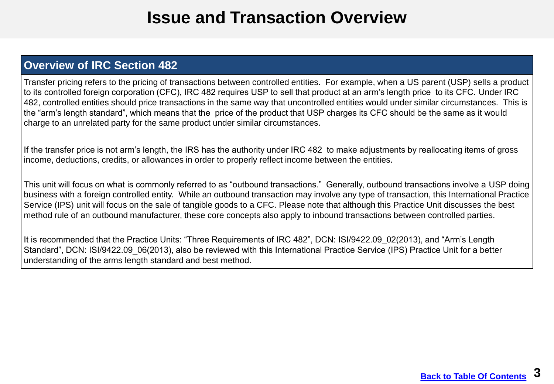### **Issue and Transaction Overview**

#### <span id="page-2-0"></span> **Overview of IRC Section 482**

 Transfer pricing refers to the pricing of transactions between controlled entities. For example, when a US parent (USP) sells a product to its controlled foreign corporation (CFC), IRC 482 requires USP to sell that product at an arm's length price to its CFC. Under IRC 482, controlled entities should price transactions in the same way that uncontrolled entities would under similar circumstances. This is the "arm's length standard", which means that the price of the product that USP charges its CFC should be the same as it would charge to an unrelated party for the same product under similar circumstances.

 If the transfer price is not arm's length, the IRS has the authority under IRC 482 to make adjustments by reallocating items of gross income, deductions, credits, or allowances in order to properly reflect income between the entities.

 This unit will focus on what is commonly referred to as "outbound transactions." Generally, outbound transactions involve a USP doing business with a foreign controlled entity. While an outbound transaction may involve any type of transaction, this International Practice Service (IPS) unit will focus on the sale of tangible goods to a CFC. Please note that although this Practice Unit discusses the best method rule of an outbound manufacturer, these core concepts also apply to inbound transactions between controlled parties.

 It is recommended that the Practice Units: "Three Requirements of IRC 482", DCN: ISI/9422.09\_02(2013), and "Arm's Length Standard", DCN: ISI/9422.09\_06(2013), also be reviewed with this International Practice Service (IPS) Practice Unit for a better understanding of the arms length standard and best method.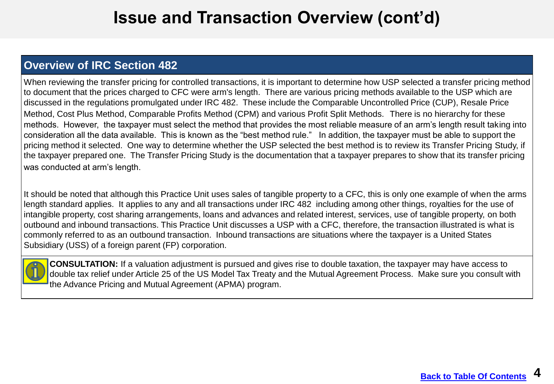### **Issue and Transaction Overview (cont'd)**

### **Overview of IRC Section 482**

 When reviewing the transfer pricing for controlled transactions, it is important to determine how USP selected a transfer pricing method to document that the prices charged to CFC were arm's length. There are various pricing methods available to the USP which are discussed in the regulations promulgated under IRC 482. These include the Comparable Uncontrolled Price (CUP), Resale Price Method, Cost Plus Method, Comparable Profits Method (CPM) and various Profit Split Methods. There is no hierarchy for these methods. However, the taxpayer must select the method that provides the most reliable measure of an arm's length result taking into consideration all the data available. This is known as the "best method rule." In addition, the taxpayer must be able to support the pricing method it selected. One way to determine whether the USP selected the best method is to review its Transfer Pricing Study, if the taxpayer prepared one. The Transfer Pricing Study is the documentation that a taxpayer prepares to show that its transfer pricing was conducted at arm's length.

was conducted at arm's length.<br>It should be noted that although this Practice Unit uses sales of tangible property to a CFC, this is only one example of when the arms length standard applies. It applies to any and all transactions under IRC 482 including among other things, royalties for the use of intangible property, cost sharing arrangements, loans and advances and related interest, services, use of tangible property, on both outbound and inbound transactions. This Practice Unit discusses a USP with a CFC, therefore, the transaction illustrated is what is commonly referred to as an outbound transaction. Inbound transactions are situations where the taxpayer is a United States Subsidiary (USS) of a foreign parent (FP) corporation.



 **CONSULTATION:** If a valuation adjustment is pursued and gives rise to double taxation, the taxpayer may have access to double tax relief under Article 25 of the US Model Tax Treaty and the Mutual Agreement Process. Make sure you consult with the Advance Pricing and Mutual Agreement (APMA) program.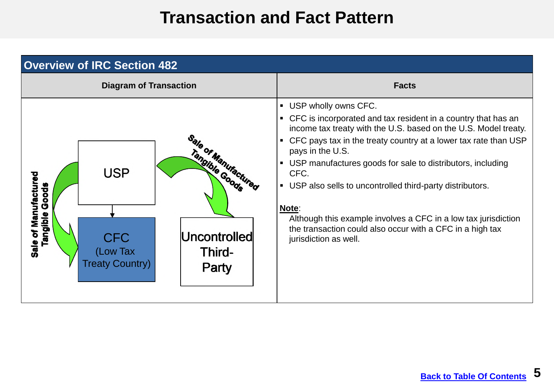## **Transaction and Fact Pattern**

<span id="page-4-0"></span>

| <b>Overview of IRC Section 482</b>                                                                                                                                                          |                                                                                                                                                                                                                                                                                                                                                                                                                                                                                                                                                              |  |  |  |
|---------------------------------------------------------------------------------------------------------------------------------------------------------------------------------------------|--------------------------------------------------------------------------------------------------------------------------------------------------------------------------------------------------------------------------------------------------------------------------------------------------------------------------------------------------------------------------------------------------------------------------------------------------------------------------------------------------------------------------------------------------------------|--|--|--|
| <b>Diagram of Transaction</b>                                                                                                                                                               | <b>Facts</b>                                                                                                                                                                                                                                                                                                                                                                                                                                                                                                                                                 |  |  |  |
| Sale of Manufactured<br>Tangible Goods<br><b>USP</b><br>of Manufactured<br>Goods<br>Tangible<br>Uncontrolled<br><b>CFC</b><br>Sale<br>Third-<br>(Low Tax<br><b>Treaty Country)</b><br>Party | • USP wholly owns CFC.<br>• CFC is incorporated and tax resident in a country that has an<br>income tax treaty with the U.S. based on the U.S. Model treaty.<br>• CFC pays tax in the treaty country at a lower tax rate than USP<br>pays in the U.S.<br>• USP manufactures goods for sale to distributors, including<br>CFC.<br>• USP also sells to uncontrolled third-party distributors.<br>Note:<br>Although this example involves a CFC in a low tax jurisdiction<br>the transaction could also occur with a CFC in a high tax<br>jurisdiction as well. |  |  |  |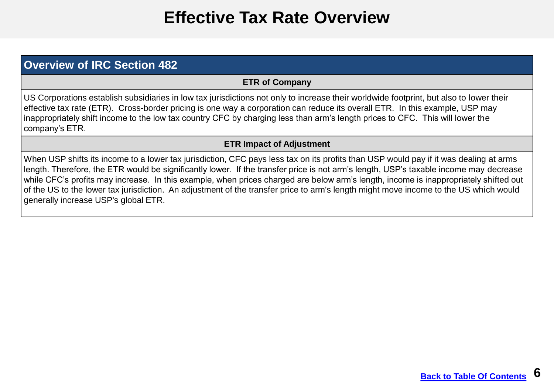## **Effective Tax Rate Overview**

#### <span id="page-5-0"></span> **Overview of IRC Section 482**

#### **ETR of Company**

 US Corporations establish subsidiaries in low tax jurisdictions not only to increase their worldwide footprint, but also to lower their effective tax rate (ETR). Cross-border pricing is one way a corporation can reduce its overall ETR. In this example, USP may inappropriately shift income to the low tax country CFC by charging less than arm's length prices to CFC. This will lower the company's ETR.

#### **ETR Impact of Adjustment**

 When USP shifts its income to a lower tax jurisdiction, CFC pays less tax on its profits than USP would pay if it was dealing at arms length. Therefore, the ETR would be significantly lower. If the transfer price is not arm's length, USP's taxable income may decrease while CFC's profits may increase. In this example, when prices charged are below arm's length, income is inappropriately shifted out of the US to the lower tax jurisdiction. An adjustment of the transfer price to arm's length might move income to the US which would generally increase USP's global ETR.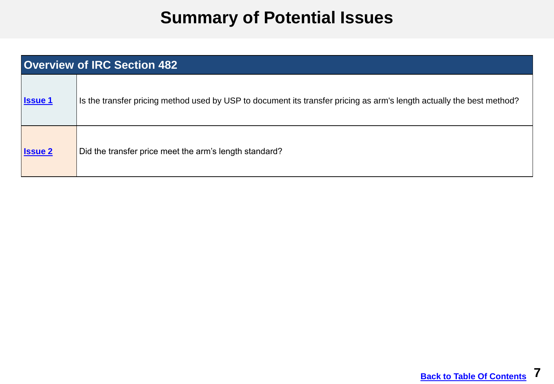# **Summary of Potential Issues**

<span id="page-6-0"></span>

| <b>Overview of IRC Section 482</b> |                                                                                                                       |  |  |
|------------------------------------|-----------------------------------------------------------------------------------------------------------------------|--|--|
| <b>Issue 1</b>                     | Is the transfer pricing method used by USP to document its transfer pricing as arm's length actually the best method? |  |  |
| <b>Issue 2</b>                     | Did the transfer price meet the arm's length standard?                                                                |  |  |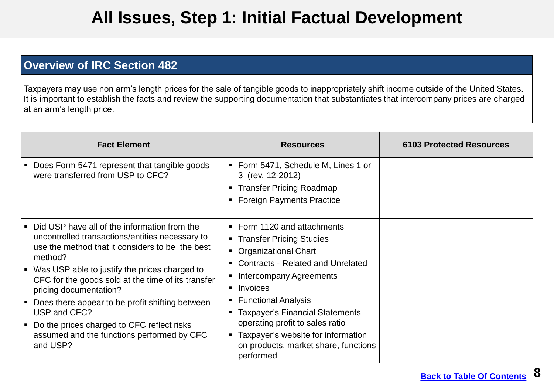## **All Issues, Step 1: Initial Factual Development**

#### <span id="page-7-0"></span> **Overview of IRC Section 482**

 Taxpayers may use non arm's length prices for the sale of tangible goods to inappropriately shift income outside of the United States. It is important to establish the facts and review the supporting documentation that substantiates that intercompany prices are charged at an arm's length price.

| <b>Fact Element</b>                                                                                                                                                                                                                                                                                                                                                                                                                                                                                                  | <b>Resources</b>                                                                                                                                                                                                                                                                                                                                                                                                      | <b>6103 Protected Resources</b> |
|----------------------------------------------------------------------------------------------------------------------------------------------------------------------------------------------------------------------------------------------------------------------------------------------------------------------------------------------------------------------------------------------------------------------------------------------------------------------------------------------------------------------|-----------------------------------------------------------------------------------------------------------------------------------------------------------------------------------------------------------------------------------------------------------------------------------------------------------------------------------------------------------------------------------------------------------------------|---------------------------------|
| Does Form 5471 represent that tangible goods<br>$\blacksquare$<br>were transferred from USP to CFC?                                                                                                                                                                                                                                                                                                                                                                                                                  | • Form 5471, Schedule M, Lines 1 or<br>3 (rev. 12-2012)<br><b>Transfer Pricing Roadmap</b><br><b>Foreign Payments Practice</b>                                                                                                                                                                                                                                                                                        |                                 |
| Did USP have all of the information from the<br>$\blacksquare$<br>uncontrolled transactions/entities necessary to<br>use the method that it considers to be the best<br>method?<br>■ Was USP able to justify the prices charged to<br>CFC for the goods sold at the time of its transfer<br>pricing documentation?<br>Does there appear to be profit shifting between<br>л<br>USP and CFC?<br>Do the prices charged to CFC reflect risks<br>$\blacksquare$<br>assumed and the functions performed by CFC<br>and USP? | • Form 1120 and attachments<br>• Transfer Pricing Studies<br><b>Organizational Chart</b><br>$\blacksquare$<br><b>Contracts - Related and Unrelated</b><br>Intercompany Agreements<br>٠<br>Invoices<br>$\blacksquare$<br><b>Functional Analysis</b><br>Taxpayer's Financial Statements -<br>operating profit to sales ratio<br>Taxpayer's website for information<br>on products, market share, functions<br>performed |                                 |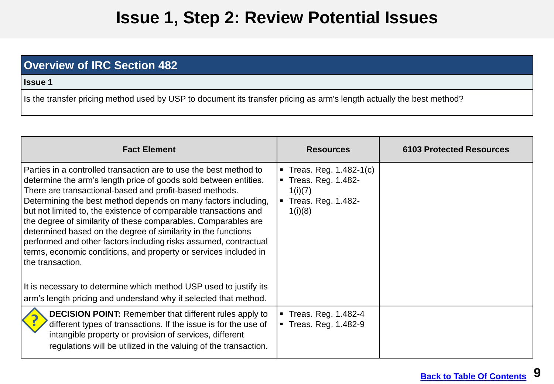## **Issue 1, Step 2: Review Potential Issues**

### <span id="page-8-0"></span> **Overview of IRC Section 482**

**Issue 1** 

| <b>Fact Element</b>                                                                                                                                                                                                                                                                                                                                                                                                                                                                                                                                                                                                                   | <b>Resources</b>                                                                             | <b>6103 Protected Resources</b> |
|---------------------------------------------------------------------------------------------------------------------------------------------------------------------------------------------------------------------------------------------------------------------------------------------------------------------------------------------------------------------------------------------------------------------------------------------------------------------------------------------------------------------------------------------------------------------------------------------------------------------------------------|----------------------------------------------------------------------------------------------|---------------------------------|
| Parties in a controlled transaction are to use the best method to<br>determine the arm's length price of goods sold between entities.<br>There are transactional-based and profit-based methods.<br>Determining the best method depends on many factors including,<br>but not limited to, the existence of comparable transactions and<br>the degree of similarity of these comparables. Comparables are<br>determined based on the degree of similarity in the functions<br>performed and other factors including risks assumed, contractual<br>terms, economic conditions, and property or services included in<br>the transaction. | Treas. Reg. $1.482 - 1(c)$<br>Treas. Reg. 1.482-<br>1(i)(7)<br>Treas. Reg. 1.482-<br>1(i)(8) |                                 |
| It is necessary to determine which method USP used to justify its<br>arm's length pricing and understand why it selected that method.                                                                                                                                                                                                                                                                                                                                                                                                                                                                                                 |                                                                                              |                                 |
| <b>DECISION POINT:</b> Remember that different rules apply to<br>different types of transactions. If the issue is for the use of<br>intangible property or provision of services, different<br>regulations will be utilized in the valuing of the transaction.                                                                                                                                                                                                                                                                                                                                                                        | Treas. Reg. 1.482-4<br>Treas. Reg. 1.482-9                                                   |                                 |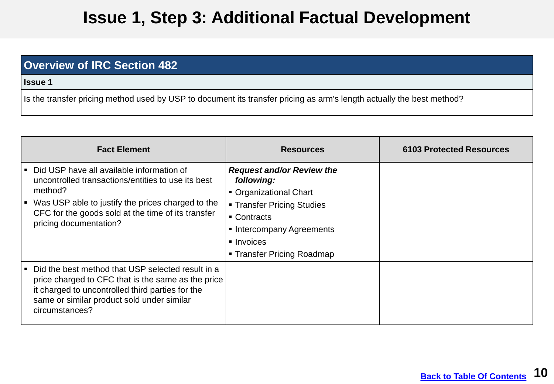## **Issue 1, Step 3: Additional Factual Development**

#### **Overview of IRC Section 482**

**Issue 1** 

| <b>Fact Element</b>                                                                                                                                                                                                                                    | <b>Resources</b>                                                                                                                                                                             | <b>6103 Protected Resources</b> |
|--------------------------------------------------------------------------------------------------------------------------------------------------------------------------------------------------------------------------------------------------------|----------------------------------------------------------------------------------------------------------------------------------------------------------------------------------------------|---------------------------------|
| Did USP have all available information of<br>uncontrolled transactions/entities to use its best<br>method?<br>Was USP able to justify the prices charged to the<br>l =<br>CFC for the goods sold at the time of its transfer<br>pricing documentation? | <b>Request and/or Review the</b><br>following:<br>• Organizational Chart<br>• Transfer Pricing Studies<br>■ Contracts<br>• Intercompany Agreements<br>lnvoices<br>■ Transfer Pricing Roadmap |                                 |
| Did the best method that USP selected result in a<br><b>E</b><br>price charged to CFC that is the same as the price<br>it charged to uncontrolled third parties for the<br>same or similar product sold under similar<br>circumstances?                |                                                                                                                                                                                              |                                 |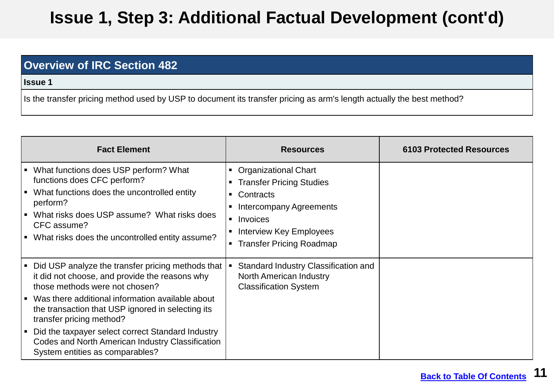# **Issue 1, Step 3: Additional Factual Development (cont'd)**

### **Overview of IRC Section 482**

**Issue 1** 

| <b>Fact Element</b>                                                                                                                                                                                                                                                                    | <b>Resources</b>                                                                                                                                                                                                               | <b>6103 Protected Resources</b> |
|----------------------------------------------------------------------------------------------------------------------------------------------------------------------------------------------------------------------------------------------------------------------------------------|--------------------------------------------------------------------------------------------------------------------------------------------------------------------------------------------------------------------------------|---------------------------------|
| What functions does USP perform? What<br>$\blacksquare$<br>functions does CFC perform?<br>What functions does the uncontrolled entity<br>▏▆<br>perform?<br>What risks does USP assume? What risks does<br>▎▖<br>CFC assume?<br>What risks does the uncontrolled entity assume?<br>▏▆   | <b>Organizational Chart</b><br>$\blacksquare$<br><b>Transfer Pricing Studies</b><br>٠<br>Contracts<br>Intercompany Agreements<br>Invoices<br>$\blacksquare$<br>Interview Key Employees<br><b>Transfer Pricing Roadmap</b><br>п |                                 |
| Did USP analyze the transfer pricing methods that<br>п<br>it did not choose, and provide the reasons why<br>those methods were not chosen?<br>Was there additional information available about<br>∣ ∎<br>the transaction that USP ignored in selecting its<br>transfer pricing method? | Standard Industry Classification and<br><b>North American Industry</b><br><b>Classification System</b>                                                                                                                         |                                 |
| Did the taxpayer select correct Standard Industry<br>▏▆<br>Codes and North American Industry Classification<br>System entities as comparables?                                                                                                                                         |                                                                                                                                                                                                                                |                                 |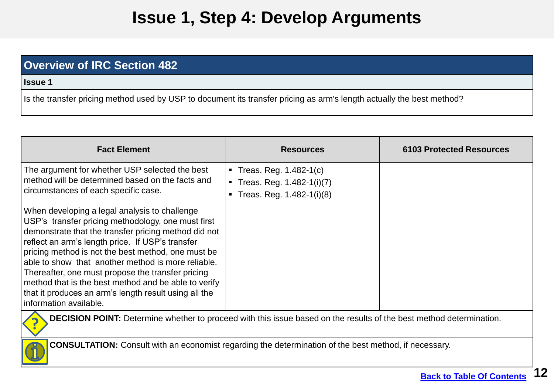# **Issue 1, Step 4: Develop Arguments**

### **Overview of IRC Section 482**

**Issue 1** 

| <b>Fact Element</b>                                                                                                                                                                                                                                                                                                                                                                                                                                                                                                         | <b>Resources</b>                                                                                              | <b>6103 Protected Resources</b> |  |
|-----------------------------------------------------------------------------------------------------------------------------------------------------------------------------------------------------------------------------------------------------------------------------------------------------------------------------------------------------------------------------------------------------------------------------------------------------------------------------------------------------------------------------|---------------------------------------------------------------------------------------------------------------|---------------------------------|--|
| The argument for whether USP selected the best<br>method will be determined based on the facts and<br>circumstances of each specific case.                                                                                                                                                                                                                                                                                                                                                                                  | • Treas. Reg. $1.482-1(c)$<br><b>Treas. Reg. 1.482-1(i)(7)</b><br>Treas. Reg. 1.482-1(i)(8)<br>$\blacksquare$ |                                 |  |
| When developing a legal analysis to challenge<br>USP's transfer pricing methodology, one must first<br>demonstrate that the transfer pricing method did not<br>reflect an arm's length price. If USP's transfer<br>pricing method is not the best method, one must be<br>able to show that another method is more reliable.<br>Thereafter, one must propose the transfer pricing<br>method that is the best method and be able to verify<br>that it produces an arm's length result using all the<br>information available. |                                                                                                               |                                 |  |
| <b>DECISION POINT:</b> Determine whether to proceed with this issue based on the results of the best method determination.                                                                                                                                                                                                                                                                                                                                                                                                  |                                                                                                               |                                 |  |
| <b>CONSULTATION:</b> Consult with an economist regarding the determination of the best method, if necessary.                                                                                                                                                                                                                                                                                                                                                                                                                |                                                                                                               |                                 |  |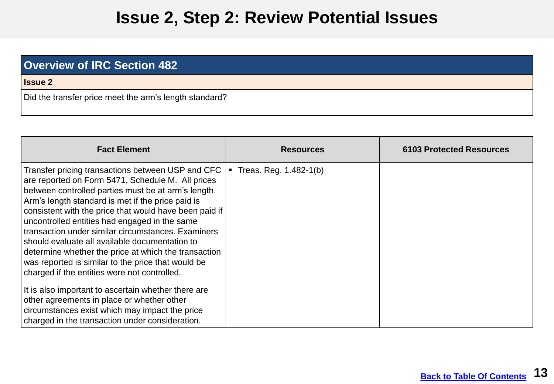### **Issue 2, Step 2: Review Potential Issues**

<span id="page-12-0"></span>

| <b>Overview of IRC Section 482</b>                     |
|--------------------------------------------------------|
| <b>Issue 2</b>                                         |
| Did the transfer price meet the arm's length standard? |

| <b>Fact Element</b>                                                                                                                                                                                                                                                                                                                                                                                                                                                                                                                                                                                                                                                                                                                                                                                             | <b>Resources</b>       | <b>6103 Protected Resources</b> |
|-----------------------------------------------------------------------------------------------------------------------------------------------------------------------------------------------------------------------------------------------------------------------------------------------------------------------------------------------------------------------------------------------------------------------------------------------------------------------------------------------------------------------------------------------------------------------------------------------------------------------------------------------------------------------------------------------------------------------------------------------------------------------------------------------------------------|------------------------|---------------------------------|
| Transfer pricing transactions between USP and CFC  <br>are reported on Form 5471, Schedule M. All prices<br>between controlled parties must be at arm's length.<br>Arm's length standard is met if the price paid is<br>consistent with the price that would have been paid if<br>uncontrolled entities had engaged in the same<br>transaction under similar circumstances. Examiners<br>should evaluate all available documentation to<br>determine whether the price at which the transaction<br>was reported is similar to the price that would be<br>charged if the entities were not controlled.<br>It is also important to ascertain whether there are<br>other agreements in place or whether other<br>circumstances exist which may impact the price<br>charged in the transaction under consideration. | Treas. Reg. 1.482-1(b) |                                 |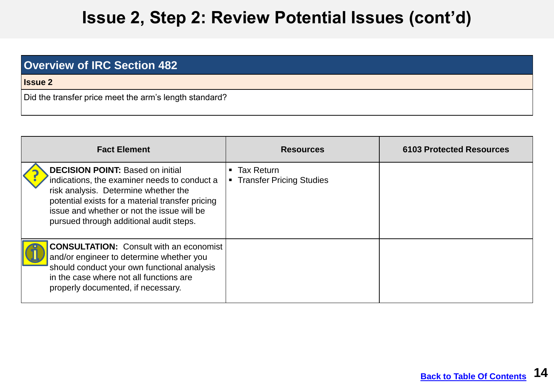## **Issue 2, Step 2: Review Potential Issues (cont'd)**

| <b>Overview of IRC Section 482</b>                     |
|--------------------------------------------------------|
| <b>Issue 2</b>                                         |
| Did the transfer price meet the arm's length standard? |

| <b>Fact Element</b>                                                                                                                                                                                                                                                          | <b>Resources</b>                                                            | <b>6103 Protected Resources</b> |
|------------------------------------------------------------------------------------------------------------------------------------------------------------------------------------------------------------------------------------------------------------------------------|-----------------------------------------------------------------------------|---------------------------------|
| <b>DECISION POINT: Based on initial</b><br>indications, the examiner needs to conduct a<br>risk analysis. Determine whether the<br>potential exists for a material transfer pricing<br>issue and whether or not the issue will be<br>pursued through additional audit steps. | <b>Tax Return</b><br>$\blacksquare$<br><b>Transfer Pricing Studies</b><br>٠ |                                 |
| <b>CONSULTATION:</b> Consult with an economist<br>and/or engineer to determine whether you<br>should conduct your own functional analysis<br>in the case where not all functions are<br>properly documented, if necessary.                                                   |                                                                             |                                 |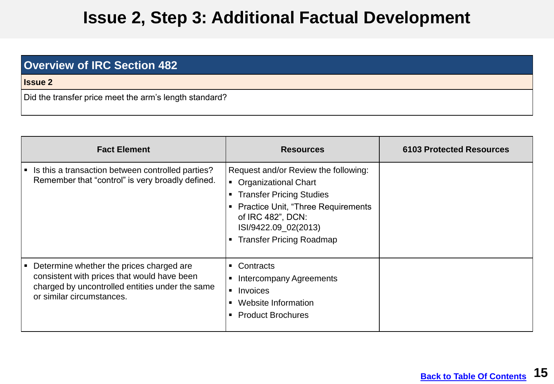## **Issue 2, Step 3: Additional Factual Development**

| <b>Overview of IRC Section 482</b>                     |
|--------------------------------------------------------|
| <b>Issue 2</b>                                         |
| Did the transfer price meet the arm's length standard? |

| <b>Fact Element</b>                                                                                                                                                     | <b>Resources</b>                                                                                                                                                                                                                | <b>6103 Protected Resources</b> |
|-------------------------------------------------------------------------------------------------------------------------------------------------------------------------|---------------------------------------------------------------------------------------------------------------------------------------------------------------------------------------------------------------------------------|---------------------------------|
| Is this a transaction between controlled parties?<br>Remember that "control" is very broadly defined.                                                                   | Request and/or Review the following:<br>• Organizational Chart<br><b>Transfer Pricing Studies</b><br><b>Practice Unit, "Three Requirements"</b><br>of IRC 482", DCN:<br>ISI/9422.09_02(2013)<br><b>Transfer Pricing Roadmap</b> |                                 |
| Determine whether the prices charged are<br>consistent with prices that would have been<br>charged by uncontrolled entities under the same<br>or similar circumstances. | Contracts<br>п.<br><b>Intercompany Agreements</b><br>Invoices<br>$\blacksquare$<br>Website Information<br><b>Product Brochures</b>                                                                                              |                                 |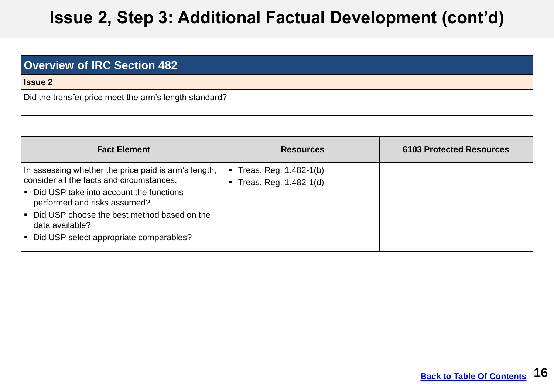# **Issue 2, Step 3: Additional Factual Development (cont'd)**

| <b>Overview of IRC Section 482</b>                     |
|--------------------------------------------------------|
| <b>Issue 2</b>                                         |
| Did the transfer price meet the arm's length standard? |

| <b>Fact Element</b>                                                                                                                                                                                                                                                                         | <b>Resources</b>                                      | <b>6103 Protected Resources</b> |
|---------------------------------------------------------------------------------------------------------------------------------------------------------------------------------------------------------------------------------------------------------------------------------------------|-------------------------------------------------------|---------------------------------|
| In assessing whether the price paid is arm's length,<br>consider all the facts and circumstances.<br>Did USP take into account the functions<br>performed and risks assumed?<br>• Did USP choose the best method based on the<br>data available?<br>Did USP select appropriate comparables? | Treas. Reg. 1.482-1(b)<br>п<br>Treas. Reg. 1.482-1(d) |                                 |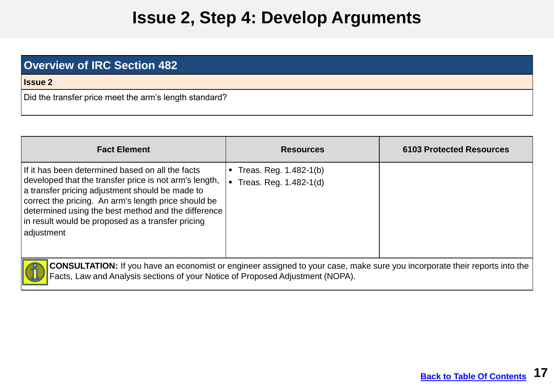## **Issue 2, Step 4: Develop Arguments**

| <b>Overview of IRC Section 482</b>                     |
|--------------------------------------------------------|
| <b>Issue 2</b>                                         |
| Did the transfer price meet the arm's length standard? |

| <b>Fact Element</b>                                                                                                                                                                                                                                                                                                                             | <b>Resources</b>                                                   | <b>6103 Protected Resources</b> |
|-------------------------------------------------------------------------------------------------------------------------------------------------------------------------------------------------------------------------------------------------------------------------------------------------------------------------------------------------|--------------------------------------------------------------------|---------------------------------|
| If it has been determined based on all the facts<br>developed that the transfer price is not arm's length,<br>a transfer pricing adjustment should be made to<br>correct the pricing. An arm's length price should be<br>determined using the best method and the difference<br>In result would be proposed as a transfer pricing<br>adjustment | Treas. Reg. 1.482-1(b)<br>Treas. Reg. 1.482-1(d)<br>$\blacksquare$ |                                 |
| <b>CONSULTATION:</b> If you have an economist or engineer assigned to your case, make sure you incorporate their reports into the                                                                                                                                                                                                               |                                                                    |                                 |

Facts, Law and Analysis sections of your Notice of Proposed Adjustment (NOPA).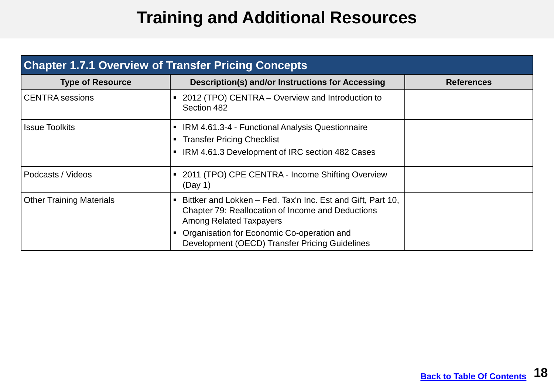# **Training and Additional Resources**

<span id="page-17-0"></span>

| <b>Chapter 1.7.1 Overview of Transfer Pricing Concepts</b> |                                                                                                                                                                                                                                                    |                   |  |
|------------------------------------------------------------|----------------------------------------------------------------------------------------------------------------------------------------------------------------------------------------------------------------------------------------------------|-------------------|--|
| <b>Type of Resource</b>                                    | <b>Description(s) and/or Instructions for Accessing</b>                                                                                                                                                                                            | <b>References</b> |  |
| CENTRA sessions                                            | ■ 2012 (TPO) CENTRA – Overview and Introduction to<br>Section 482                                                                                                                                                                                  |                   |  |
| <b>Issue Toolkits</b>                                      | IRM 4.61.3-4 - Functional Analysis Questionnaire<br><b>Transfer Pricing Checklist</b><br>п.<br>IRM 4.61.3 Development of IRC section 482 Cases                                                                                                     |                   |  |
| Podcasts / Videos                                          | 2011 (TPO) CPE CENTRA - Income Shifting Overview<br>$\blacksquare$<br>(Day 1)                                                                                                                                                                      |                   |  |
| <b>Other Training Materials</b>                            | Bittker and Lokken - Fed. Tax'n Inc. Est and Gift, Part 10,<br>Chapter 79: Reallocation of Income and Deductions<br><b>Among Related Taxpayers</b><br>Organisation for Economic Co-operation and<br>Development (OECD) Transfer Pricing Guidelines |                   |  |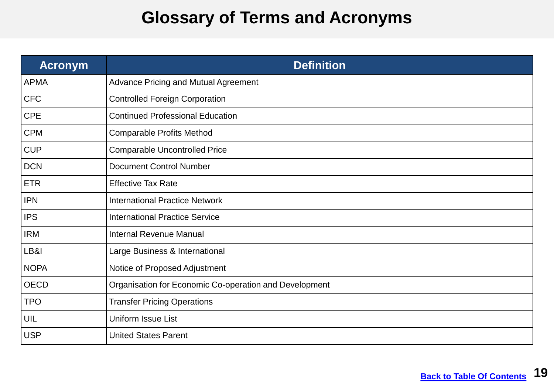## **Glossary of Terms and Acronyms**

<span id="page-18-0"></span>

| <b>Acronym</b> | <b>Definition</b>                                      |
|----------------|--------------------------------------------------------|
| <b>APMA</b>    | Advance Pricing and Mutual Agreement                   |
| <b>CFC</b>     | <b>Controlled Foreign Corporation</b>                  |
| <b>CPE</b>     | <b>Continued Professional Education</b>                |
| <b>CPM</b>     | <b>Comparable Profits Method</b>                       |
| <b>CUP</b>     | <b>Comparable Uncontrolled Price</b>                   |
| <b>DCN</b>     | <b>Document Control Number</b>                         |
| <b>ETR</b>     | <b>Effective Tax Rate</b>                              |
| <b>IPN</b>     | <b>International Practice Network</b>                  |
| <b>IPS</b>     | <b>International Practice Service</b>                  |
| <b>IRM</b>     | <b>Internal Revenue Manual</b>                         |
| LB&I           | Large Business & International                         |
| <b>NOPA</b>    | Notice of Proposed Adjustment                          |
| <b>OECD</b>    | Organisation for Economic Co-operation and Development |
| <b>TPO</b>     | <b>Transfer Pricing Operations</b>                     |
| UIL            | <b>Uniform Issue List</b>                              |
| <b>USP</b>     | <b>United States Parent</b>                            |